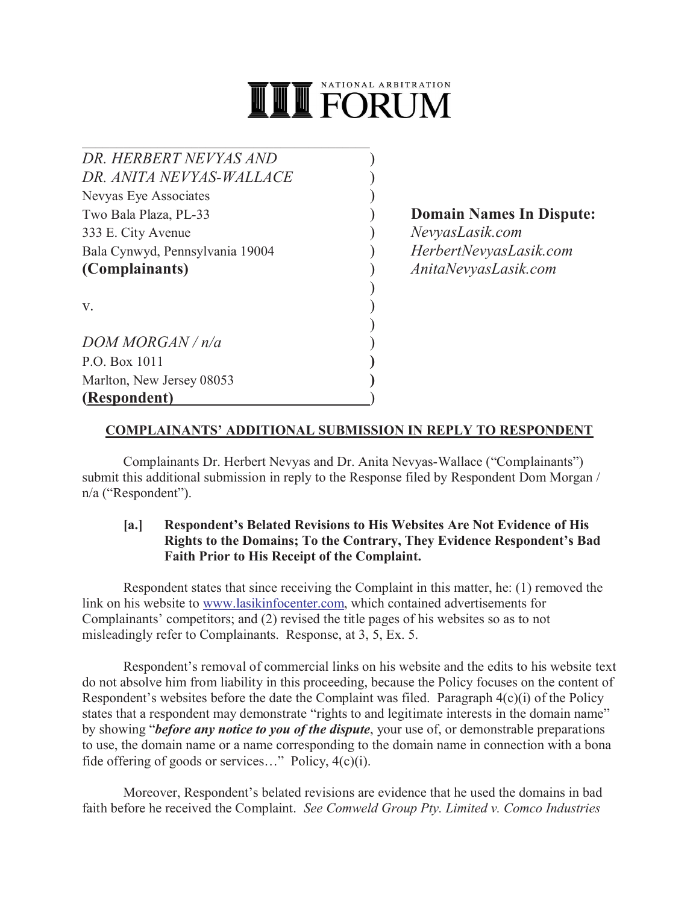

 $\mathcal{L}_\mathcal{L}$  , which is a set of the set of the set of the set of the set of the set of the set of the set of the set of the set of the set of the set of the set of the set of the set of the set of the set of the set of *DR. HERBERT NEVYAS AND* ) *DR. ANITA NEVYAS-WALLACE* ) Nevyas Eye Associates ) Two Bala Plaza, PL-33 ) **Domain Names In Dispute:** 333 E. City Avenue ) *NevyasLasik.com* Bala Cynwyd, Pennsylvania 19004 ) *HerbertNevyasLasik.com* **(Complainants)** ) *AnitaNevyasLasik.com*

 $\mathbf{v}$ .

*DOM MORGAN / n/a* ) P.O. Box 1011 **)** Marlton, New Jersey 08053 **) (Respondent)** )

# **COMPLAINANTS' ADDITIONAL SUBMISSION IN REPLY TO RESPONDENT**

)

)

Complainants Dr. Herbert Nevyas and Dr. Anita Nevyas-Wallace ("Complainants") submit this additional submission in reply to the Response filed by Respondent Dom Morgan / n/a ("Respondent").

#### **[a.] Respondent's Belated Revisions to His Websites Are Not Evidence of His Rights to the Domains; To the Contrary, They Evidence Respondent's Bad Faith Prior to His Receipt of the Complaint.**

Respondent states that since receiving the Complaint in this matter, he: (1) removed the link on his website to www.lasikinfocenter.com, which contained advertisements for Complainants' competitors; and (2) revised the title pages of his websites so as to not misleadingly refer to Complainants. Response, at 3, 5, Ex. 5.

Respondent's removal of commercial links on his website and the edits to his website text do not absolve him from liability in this proceeding, because the Policy focuses on the content of Respondent's websites before the date the Complaint was filed. Paragraph 4(c)(i) of the Policy states that a respondent may demonstrate "rights to and legitimate interests in the domain name" by showing "*before any notice to you of the dispute*, your use of, or demonstrable preparations to use, the domain name or a name corresponding to the domain name in connection with a bona fide offering of goods or services..." Policy,  $4(c)(i)$ .

Moreover, Respondent's belated revisions are evidence that he used the domains in bad faith before he received the Complaint. *See Comweld Group Pty. Limited v. Comco Industries*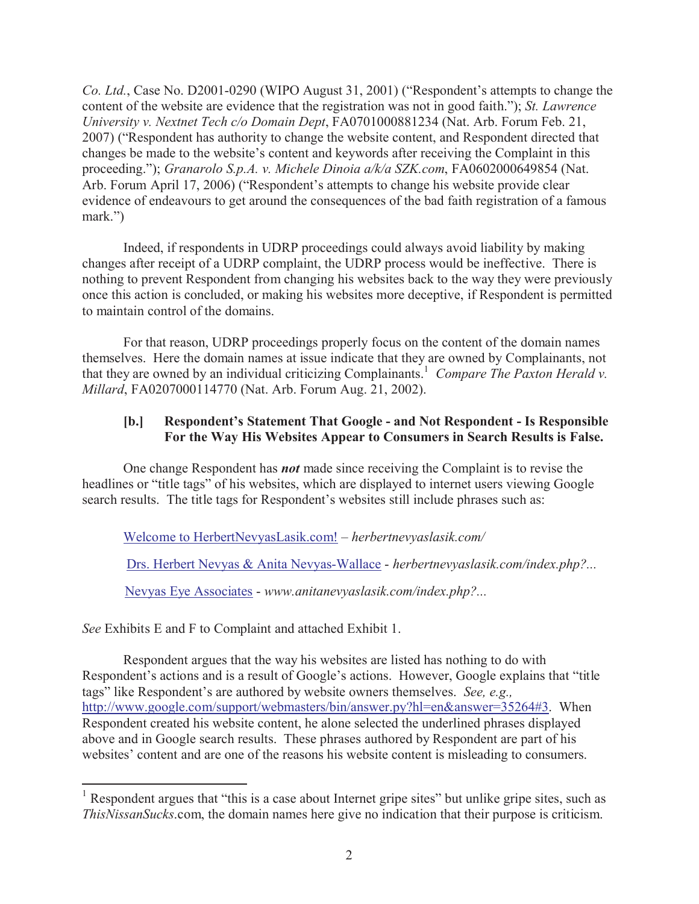*Co. Ltd.*, Case No. D2001-0290 (WIPO August 31, 2001) ("Respondent's attempts to change the content of the website are evidence that the registration was not in good faith."); *St. Lawrence University v. Nextnet Tech c/o Domain Dept*, FA0701000881234 (Nat. Arb. Forum Feb. 21, 2007) ("Respondent has authority to change the website content, and Respondent directed that changes be made to the website's content and keywords after receiving the Complaint in this proceeding."); *Granarolo S.p.A. v. Michele Dinoia a/k/a SZK.com*, FA0602000649854 (Nat. Arb. Forum April 17, 2006) ("Respondent's attempts to change his website provide clear evidence of endeavours to get around the consequences of the bad faith registration of a famous mark.")

Indeed, if respondents in UDRP proceedings could always avoid liability by making changes after receipt of a UDRP complaint, the UDRP process would be ineffective. There is nothing to prevent Respondent from changing his websites back to the way they were previously once this action is concluded, or making his websites more deceptive, if Respondent is permitted to maintain control of the domains.

For that reason, UDRP proceedings properly focus on the content of the domain names themselves. Here the domain names at issue indicate that they are owned by Complainants, not that they are owned by an individual criticizing Complainants.<sup>1</sup> Compare The Paxton Herald v. *Millard*, FA0207000114770 (Nat. Arb. Forum Aug. 21, 2002).

## **[b.] Respondent's Statement That Google - and Not Respondent - Is Responsible For the Way His Websites Appear to Consumers in Search Results is False.**

One change Respondent has *not* made since receiving the Complaint is to revise the headlines or "title tags" of his websites, which are displayed to internet users viewing Google search results. The title tags for Respondent's websites still include phrases such as:

Welcome to HerbertNevyasLasik.com! – *herbertnevyaslasik.com/*

Drs. Herbert Nevyas & Anita Nevyas-Wallace - *herbertnevyaslasik.com/index.php?...*

Nevyas Eye Associates - *www.anitanevyaslasik.com/index.php?...*

*See* Exhibits E and F to Complaint and attached Exhibit 1.

 $\overline{a}$ 

Respondent argues that the way his websites are listed has nothing to do with Respondent's actions and is a result of Google's actions. However, Google explains that "title tags" like Respondent's are authored by website owners themselves. *See, e.g.,* http://www.google.com/support/webmasters/bin/answer.py?hl=en&answer=35264#3. When Respondent created his website content, he alone selected the underlined phrases displayed above and in Google search results. These phrases authored by Respondent are part of his websites' content and are one of the reasons his website content is misleading to consumers.

<sup>&</sup>lt;sup>1</sup> Respondent argues that "this is a case about Internet gripe sites" but unlike gripe sites, such as *ThisNissanSucks*.com, the domain names here give no indication that their purpose is criticism.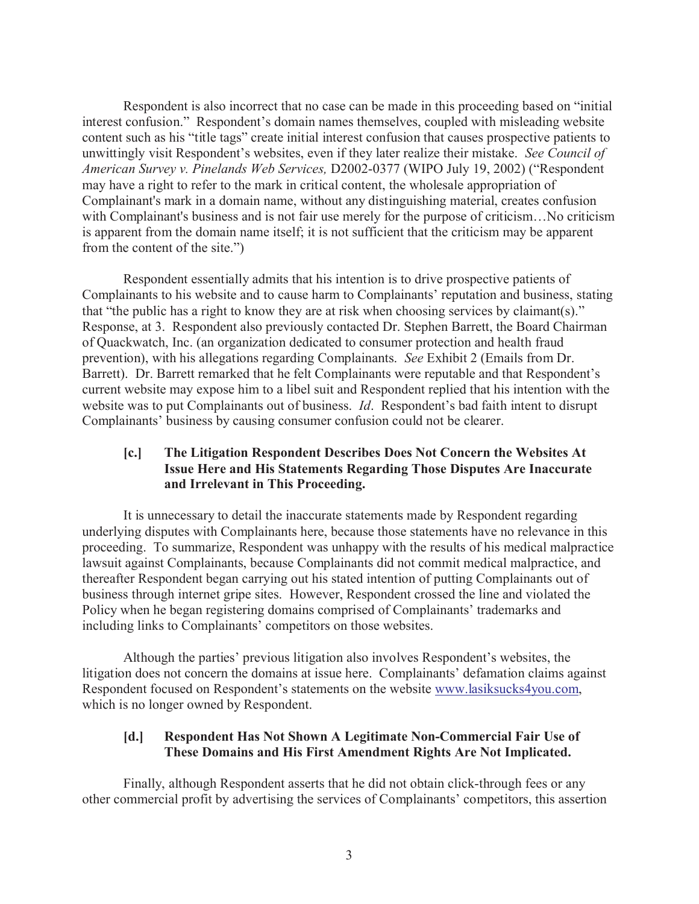Respondent is also incorrect that no case can be made in this proceeding based on "initial interest confusion." Respondent's domain names themselves, coupled with misleading website content such as his "title tags" create initial interest confusion that causes prospective patients to unwittingly visit Respondent's websites, even if they later realize their mistake. *See Council of American Survey v. Pinelands Web Services,* D2002-0377 (WIPO July 19, 2002) ("Respondent may have a right to refer to the mark in critical content, the wholesale appropriation of Complainant's mark in a domain name, without any distinguishing material, creates confusion with Complainant's business and is not fair use merely for the purpose of criticism...No criticism is apparent from the domain name itself; it is not sufficient that the criticism may be apparent from the content of the site.")

Respondent essentially admits that his intention is to drive prospective patients of Complainants to his website and to cause harm to Complainants' reputation and business, stating that "the public has a right to know they are at risk when choosing services by claimant(s)." Response, at 3. Respondent also previously contacted Dr. Stephen Barrett, the Board Chairman of Quackwatch, Inc. (an organization dedicated to consumer protection and health fraud prevention), with his allegations regarding Complainants. *See* Exhibit 2 (Emails from Dr. Barrett). Dr. Barrett remarked that he felt Complainants were reputable and that Respondent's current website may expose him to a libel suit and Respondent replied that his intention with the website was to put Complainants out of business. *Id*. Respondent's bad faith intent to disrupt Complainants' business by causing consumer confusion could not be clearer.

## **[c.] The Litigation Respondent Describes Does Not Concern the Websites At Issue Here and His Statements Regarding Those Disputes Are Inaccurate and Irrelevant in This Proceeding.**

It is unnecessary to detail the inaccurate statements made by Respondent regarding underlying disputes with Complainants here, because those statements have no relevance in this proceeding. To summarize, Respondent was unhappy with the results of his medical malpractice lawsuit against Complainants, because Complainants did not commit medical malpractice, and thereafter Respondent began carrying out his stated intention of putting Complainants out of business through internet gripe sites. However, Respondent crossed the line and violated the Policy when he began registering domains comprised of Complainants' trademarks and including links to Complainants' competitors on those websites.

Although the parties' previous litigation also involves Respondent's websites, the litigation does not concern the domains at issue here. Complainants' defamation claims against Respondent focused on Respondent's statements on the website www.lasiksucks4you.com, which is no longer owned by Respondent.

#### **[d.] Respondent Has Not Shown A Legitimate Non-Commercial Fair Use of These Domains and His First Amendment Rights Are Not Implicated.**

Finally, although Respondent asserts that he did not obtain click-through fees or any other commercial profit by advertising the services of Complainants' competitors, this assertion